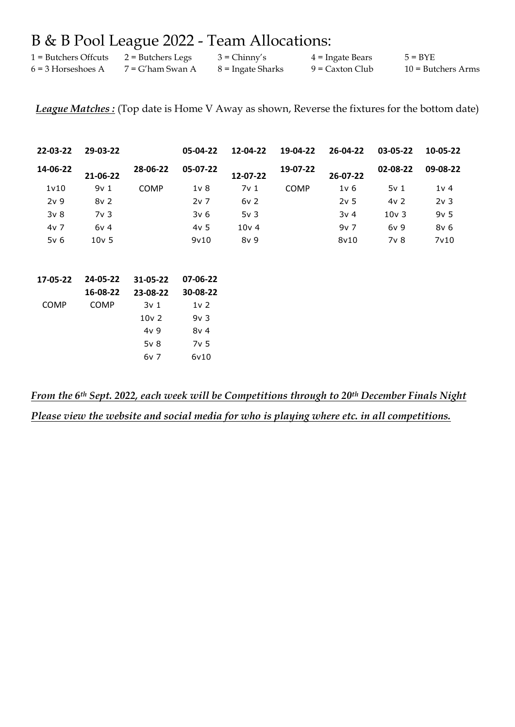# B & B Pool League 2022 - Team Allocations:

| 1 = Butchers Offcuts | 2 = Butchers Legs   | $3 = Chinny's$    | $4$ = Ingate Bears | $5 = BYE$            |
|----------------------|---------------------|-------------------|--------------------|----------------------|
| $6 = 3$ Horseshoes A | $7 = G'$ ham Swan A | 8 = Ingate Sharks | 9 = Caxton Club    | $10 =$ Butchers Arms |

*League Matches :* (Top date is Home V Away as shown, Reverse the fixtures for the bottom date)

| 22-03-22        | 29-03-22         |                 | 05-04-22         | 12-04-22         | 19-04-22    | 26-04-22        | 03-05-22        | 10-05-22          |
|-----------------|------------------|-----------------|------------------|------------------|-------------|-----------------|-----------------|-------------------|
| 14-06-22        | 21-06-22         | 28-06-22        | 05-07-22         | 12-07-22         | 19-07-22    | 26-07-22        | 02-08-22        | 09-08-22          |
| 1v10            | 9v1              | <b>COMP</b>     | 1 <sub>V</sub> 8 | 7v <sub>1</sub>  | <b>COMP</b> | 1v <sub>6</sub> | 5v <sub>1</sub> | 1v <sub>4</sub>   |
| 2v <sub>9</sub> | 8v <sub>2</sub>  |                 | 2v <sub>7</sub>  | 6v <sub>2</sub>  |             | 2v <sub>5</sub> | 4v <sub>2</sub> | 2v <sub>3</sub>   |
| 3v <sub>8</sub> | 7v <sub>3</sub>  |                 | 3v <sub>6</sub>  | 5v <sub>3</sub>  |             | 3v <sub>4</sub> | $10v$ 3         | 9v <sub>5</sub>   |
| 4v 7            | 6v <sub>4</sub>  |                 | 4v <sub>5</sub>  | 10v <sub>4</sub> |             | $9v$ 7          | 6v <sub>9</sub> | 8v <sub>6</sub>   |
| 5v <sub>6</sub> | 10v <sub>5</sub> |                 | 9v10             | 8v <sub>9</sub>  |             | 8v10            | 7v 8            | 7 <sub>v</sub> 10 |
| 17-05-22        | 24-05-22         | 31-05-22        | 07-06-22         |                  |             |                 |                 |                   |
|                 | 16-08-22         | 23-08-22        | 30-08-22         |                  |             |                 |                 |                   |
| <b>COMP</b>     | <b>COMP</b>      | 3v <sub>1</sub> | $1v$ 2           |                  |             |                 |                 |                   |
|                 |                  | $10V$ 2         | 9v <sub>3</sub>  |                  |             |                 |                 |                   |
|                 |                  | 4v <sub>9</sub> | 8v <sub>4</sub>  |                  |             |                 |                 |                   |
|                 |                  | 5v <sub>8</sub> | 7v <sub>5</sub>  |                  |             |                 |                 |                   |
|                 |                  | 6v 7            | 6v10             |                  |             |                 |                 |                   |

*From the 6th Sept. 2022, each week will be Competitions through to 20th December Finals Night Please view the website and social media for who is playing where etc. in all competitions.*